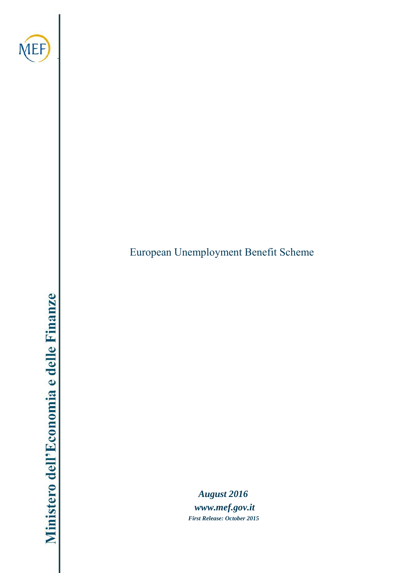

.

European Unemployment Benefit Scheme

*August 201[6](http://www.mef.gov.it/) [www.mef.gov.it](http://www.mef.gov.it/) First Release: October 2015*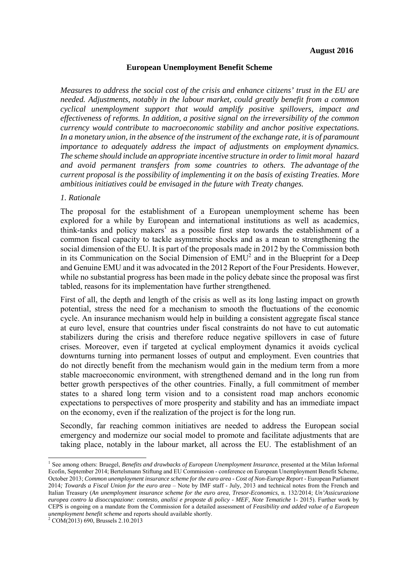## **European Unemployment Benefit Scheme**

*Measures to address the social cost of the crisis and enhance citizens' trust in the EU are needed. Adjustments, notably in the labour market, could greatly benefit from a common cyclical unemployment support that would amplify positive spillovers, impact and effectiveness of reforms. In addition, a positive signal on the irreversibility of the common currency would contribute to macroeconomic stability and anchor positive expectations. In a monetary union, in the absence of the instrument of the exchange rate, it is of paramount importance to adequately address the impact of adjustments on employment dynamics. The scheme should include an appropriate incentive structure in order to limit moral hazard and avoid permanent transfers from some countries to others. The advantage of the current proposal is the possibility of implementing it on the basis of existing Treaties. More ambitious initiatives could be envisaged in the future with Treaty changes.*

## *1. Rationale*

The proposal for the establishment of a European unemployment scheme has been explored for a while by European and international institutions as well as academics, think-tanks and policy makers<sup>1</sup> as a possible first step towards the establishment of a common fiscal capacity to tackle asymmetric shocks and as a mean to strengthening the social dimension of the EU. It is part of the proposals made in 2012 by the Commission both in its Communication on the Social Dimension of  $EMU<sup>2</sup>$  and in the Blueprint for a Deep and Genuine EMU and it was advocated in the 2012 Report of the Four Presidents. However, while no substantial progress has been made in the policy debate since the proposal was first tabled, reasons for its implementation have further strengthened.

First of all, the depth and length of the crisis as well as its long lasting impact on growth potential, stress the need for a mechanism to smooth the fluctuations of the economic cycle. An insurance mechanism would help in building a consistent aggregate fiscal stance at euro level, ensure that countries under fiscal constraints do not have to cut automatic stabilizers during the crisis and therefore reduce negative spillovers in case of future crises. Moreover, even if targeted at cyclical employment dynamics it avoids cyclical downturns turning into permanent losses of output and employment. Even countries that do not directly benefit from the mechanism would gain in the medium term from a more stable macroeconomic environment, with strengthened demand and in the long run from better growth perspectives of the other countries. Finally, a full commitment of member states to a shared long term vision and to a consistent road map anchors economic expectations to perspectives of more prosperity and stability and has an immediate impact on the economy, even if the realization of the project is for the long run.

Secondly, far reaching common initiatives are needed to address the European social emergency and modernize our social model to promote and facilitate adjustments that are taking place, notably in the labour market, all across the EU. The establishment of an

<sup>1</sup> See among others: Bruegel, *Benefits and drawbacks of European Unemployment Insurance*, presented at the Milan Informal Ecofin, September 2014; Bertelsmann Stiftung and EU Commission - conference on European Unemployment Benefit Scheme, October 2013; *Common unemployment insurance scheme for the euro area - Cost of Non-Europe Report -* European Parliament 2014*; Towards a Fiscal Union for the euro area* – Note by IMF staff - July, 2013 and technical notes from the French and Italian Treasury (*An unemployment insurance scheme for the euro area*, *Tresor-Economics*, n. 132/2014; *Un'Assicurazione europea contro la disoccupazione: contesto, analisi e proposte di policy - MEF, Note Tematiche* 1- 2015). Further work by CEPS is ongoing on a mandate from the Commission for a detailed assessment of *Feasibility and added value of a European unemployment benefit scheme* and reports should available shortly. 2 COM(2013) 690, Brussels 2.10.2013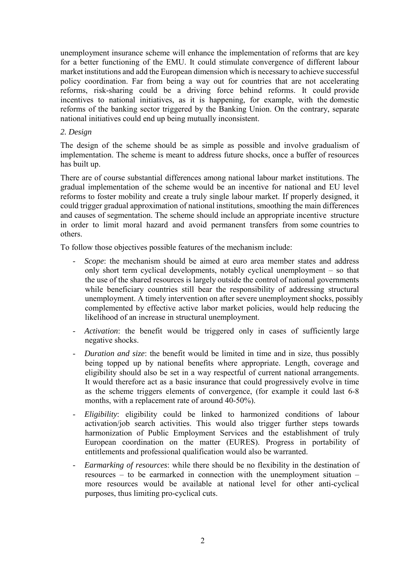unemployment insurance scheme will enhance the implementation of reforms that are key for a better functioning of the EMU. It could stimulate convergence of different labour market institutions and add the European dimension which is necessary to achieve successful policy coordination. Far from being a way out for countries that are not accelerating reforms, risk-sharing could be a driving force behind reforms. It could provide incentives to national initiatives, as it is happening, for example, with the domestic reforms of the banking sector triggered by the Banking Union. On the contrary, separate national initiatives could end up being mutually inconsistent.

## *2. Design*

The design of the scheme should be as simple as possible and involve gradualism of implementation. The scheme is meant to address future shocks, once a buffer of resources has built up.

There are of course substantial differences among national labour market institutions. The gradual implementation of the scheme would be an incentive for national and EU level reforms to foster mobility and create a truly single labour market. If properly designed, it could trigger gradual approximation of national institutions, smoothing the main differences and causes of segmentation. The scheme should include an appropriate incentive structure in order to limit moral hazard and avoid permanent transfers from some countries to others.

To follow those objectives possible features of the mechanism include:

- *Scope*: the mechanism should be aimed at euro area member states and address only short term cyclical developments, notably cyclical unemployment – so that the use of the shared resources is largely outside the control of national governments while beneficiary countries still bear the responsibility of addressing structural unemployment. A timely intervention on after severe unemployment shocks, possibly complemented by effective active labor market policies, would help reducing the likelihood of an increase in structural unemployment.
- *Activation*: the benefit would be triggered only in cases of sufficiently large negative shocks.
- *Duration and size*: the benefit would be limited in time and in size, thus possibly being topped up by national benefits where appropriate. Length, coverage and eligibility should also be set in a way respectful of current national arrangements. It would therefore act as a basic insurance that could progressively evolve in time as the scheme triggers elements of convergence, (for example it could last 6-8 months, with a replacement rate of around 40-50%).
- *Eligibility*: eligibility could be linked to harmonized conditions of labour activation/job search activities. This would also trigger further steps towards harmonization of Public Employment Services and the establishment of truly European coordination on the matter (EURES). Progress in portability of entitlements and professional qualification would also be warranted.
- *Earmarking of resources*: while there should be no flexibility in the destination of resources – to be earmarked in connection with the unemployment situation – more resources would be available at national level for other anti-cyclical purposes, thus limiting pro-cyclical cuts.